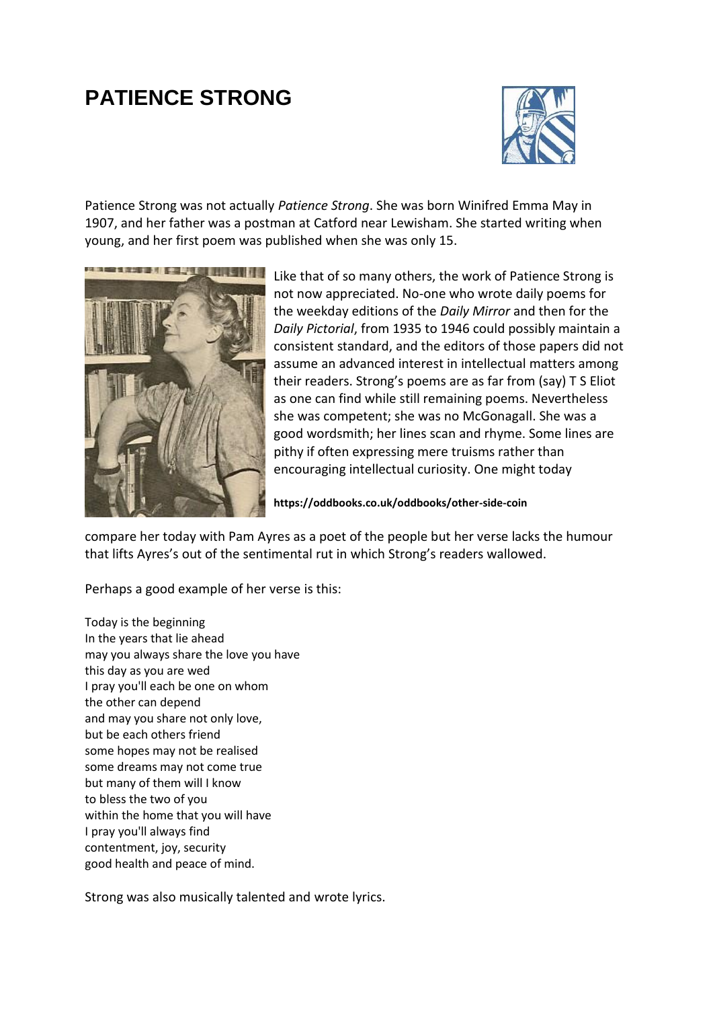## **PATIENCE STRONG**



Patience Strong was not actually *Patience Strong*. She was born Winifred Emma May in 1907, and her father was a postman at Catford near Lewisham. She started writing when young, and her first poem was published when she was only 15.



Like that of so many others, the work of Patience Strong is not now appreciated. No-one who wrote daily poems for the weekday editions of the *Daily Mirror* and then for the *Daily Pictorial*, from 1935 to 1946 could possibly maintain a consistent standard, and the editors of those papers did not assume an advanced interest in intellectual matters among their readers. Strong's poems are as far from (say) T S Eliot as one can find while still remaining poems. Nevertheless she was competent; she was no McGonagall. She was a good wordsmith; her lines scan and rhyme. Some lines are pithy if often expressing mere truisms rather than encouraging intellectual curiosity. One might today

**<https://oddbooks.co.uk/oddbooks/other-side-coin>**

compare her today with Pam Ayres as a poet of the people but her verse lacks the humour that lifts Ayres's out of the sentimental rut in which Strong's readers wallowed.

Perhaps a good example of her verse is this:

Today is the beginning In the years that lie ahead may you always share the love you have this day as you are wed I pray you'll each be one on whom the other can depend and may you share not only love, but be each others friend some hopes may not be realised some dreams may not come true but many of them will I know to bless the two of you within the home that you will have I pray you'll always find contentment, joy, security good health and peace of mind.

Strong was also musically talented and wrote lyrics.